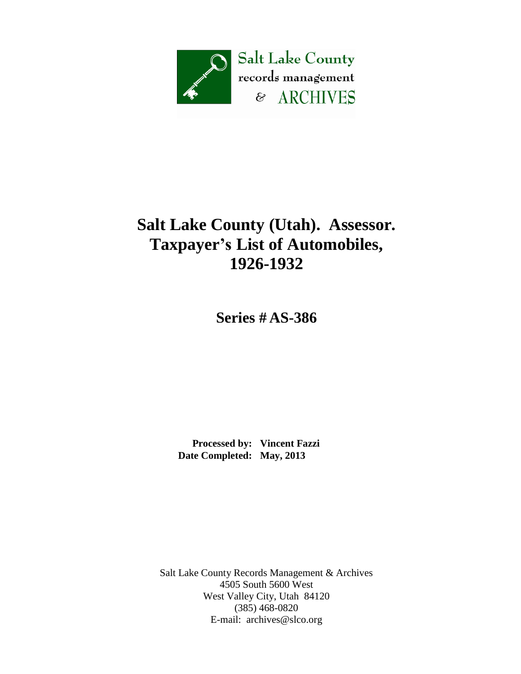

## **Salt Lake County (Utah). Assessor. Taxpayer's List of Automobiles, 1926-1932**

**Series # AS-386**

 **Processed by: Vincent Fazzi Date Completed: May, 2013**

Salt Lake County Records Management & Archives 4505 South 5600 West West Valley City, Utah 84120 (385) 468-0820 E-mail: [archives@slco.org](mailto:archives@slco.org)